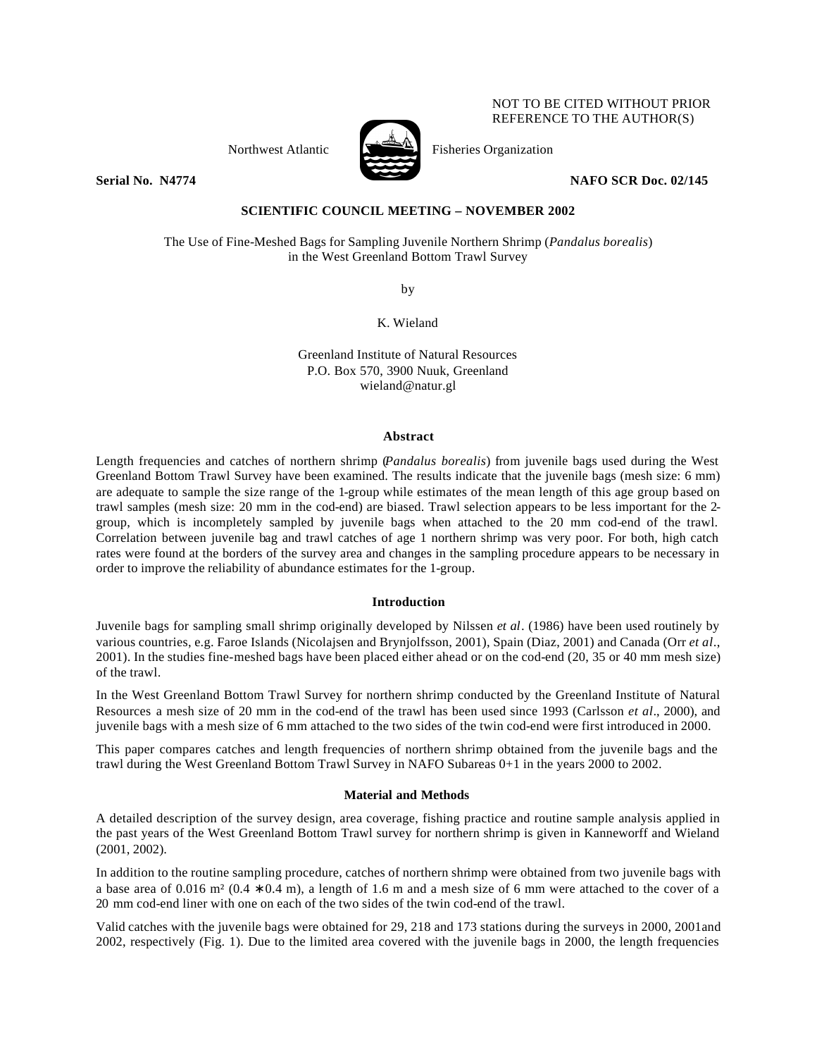

Northwest Atlantic  $\sum_{n=1}^{\infty}$  Fisheries Organization

**Serial No. N4774 NAFO SCR Doc. 02/145** 

NOT TO BE CITED WITHOUT PRIOR REFERENCE TO THE AUTHOR(S)

# **SCIENTIFIC COUNCIL MEETING – NOVEMBER 2002**

The Use of Fine-Meshed Bags for Sampling Juvenile Northern Shrimp (*Pandalus borealis*) in the West Greenland Bottom Trawl Survey

by

K. Wieland

Greenland Institute of Natural Resources P.O. Box 570, 3900 Nuuk, Greenland wieland@natur.gl

## **Abstract**

Length frequencies and catches of northern shrimp (*Pandalus borealis*) from juvenile bags used during the West Greenland Bottom Trawl Survey have been examined. The results indicate that the juvenile bags (mesh size: 6 mm) are adequate to sample the size range of the 1-group while estimates of the mean length of this age group based on trawl samples (mesh size: 20 mm in the cod-end) are biased. Trawl selection appears to be less important for the 2 group, which is incompletely sampled by juvenile bags when attached to the 20 mm cod-end of the trawl. Correlation between juvenile bag and trawl catches of age 1 northern shrimp was very poor. For both, high catch rates were found at the borders of the survey area and changes in the sampling procedure appears to be necessary in order to improve the reliability of abundance estimates for the 1-group.

## **Introduction**

Juvenile bags for sampling small shrimp originally developed by Nilssen *et al*. (1986) have been used routinely by various countries, e.g. Faroe Islands (Nicolajsen and Brynjolfsson, 2001), Spain (Diaz, 2001) and Canada (Orr *et al*., 2001). In the studies fine-meshed bags have been placed either ahead or on the cod-end (20, 35 or 40 mm mesh size) of the trawl.

In the West Greenland Bottom Trawl Survey for northern shrimp conducted by the Greenland Institute of Natural Resources a mesh size of 20 mm in the cod-end of the trawl has been used since 1993 (Carlsson *et al*., 2000), and juvenile bags with a mesh size of 6 mm attached to the two sides of the twin cod-end were first introduced in 2000.

This paper compares catches and length frequencies of northern shrimp obtained from the juvenile bags and the trawl during the West Greenland Bottom Trawl Survey in NAFO Subareas 0+1 in the years 2000 to 2002.

### **Material and Methods**

A detailed description of the survey design, area coverage, fishing practice and routine sample analysis applied in the past years of the West Greenland Bottom Trawl survey for northern shrimp is given in Kanneworff and Wieland (2001, 2002).

In addition to the routine sampling procedure, catches of northern shrimp were obtained from two juvenile bags with a base area of 0.016 m² (0.4 ∗ 0.4 m), a length of 1.6 m and a mesh size of 6 mm were attached to the cover of a 20 mm cod-end liner with one on each of the two sides of the twin cod-end of the trawl.

Valid catches with the juvenile bags were obtained for 29, 218 and 173 stations during the surveys in 2000, 2001and 2002, respectively (Fig. 1). Due to the limited area covered with the juvenile bags in 2000, the length frequencies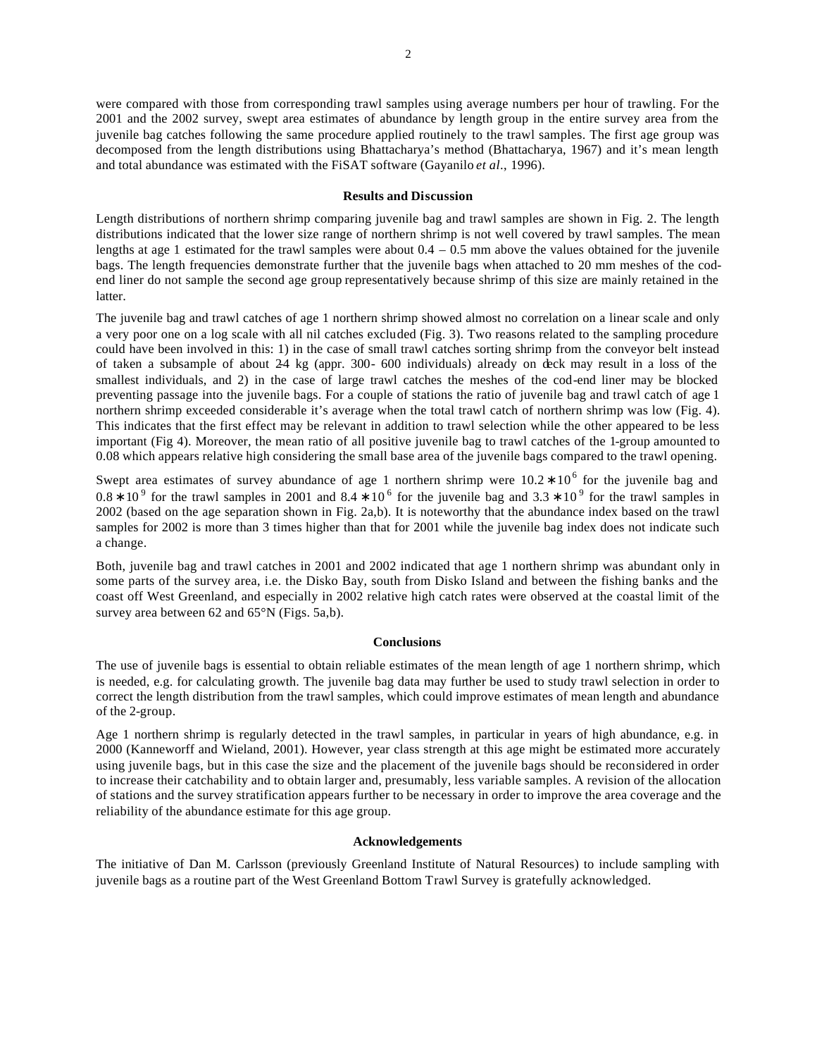were compared with those from corresponding trawl samples using average numbers per hour of trawling. For the 2001 and the 2002 survey, swept area estimates of abundance by length group in the entire survey area from the juvenile bag catches following the same procedure applied routinely to the trawl samples. The first age group was decomposed from the length distributions using Bhattacharya's method (Bhattacharya, 1967) and it's mean length and total abundance was estimated with the FiSAT software (Gayanilo *et al*., 1996).

### **Results and Discussion**

Length distributions of northern shrimp comparing juvenile bag and trawl samples are shown in Fig. 2. The length distributions indicated that the lower size range of northern shrimp is not well covered by trawl samples. The mean lengths at age 1 estimated for the trawl samples were about  $0.4 - 0.5$  mm above the values obtained for the juvenile bags. The length frequencies demonstrate further that the juvenile bags when attached to 20 mm meshes of the codend liner do not sample the second age group representatively because shrimp of this size are mainly retained in the latter.

The juvenile bag and trawl catches of age 1 northern shrimp showed almost no correlation on a linear scale and only a very poor one on a log scale with all nil catches excluded (Fig. 3). Two reasons related to the sampling procedure could have been involved in this: 1) in the case of small trawl catches sorting shrimp from the conveyor belt instead of taken a subsample of about 24 kg (appr. 300- 600 individuals) already on deck may result in a loss of the smallest individuals, and 2) in the case of large trawl catches the meshes of the cod-end liner may be blocked preventing passage into the juvenile bags. For a couple of stations the ratio of juvenile bag and trawl catch of age 1 northern shrimp exceeded considerable it's average when the total trawl catch of northern shrimp was low (Fig. 4). This indicates that the first effect may be relevant in addition to trawl selection while the other appeared to be less important (Fig 4). Moreover, the mean ratio of all positive juvenile bag to trawl catches of the 1-group amounted to 0.08 which appears relative high considering the small base area of the juvenile bags compared to the trawl opening.

Swept area estimates of survey abundance of age 1 northern shrimp were  $10.2 * 10<sup>6</sup>$  for the juvenile bag and  $0.8 * 10<sup>9</sup>$  for the trawl samples in 2001 and  $8.4 * 10<sup>6</sup>$  for the juvenile bag and  $3.3 * 10<sup>9</sup>$  for the trawl samples in 2002 (based on the age separation shown in Fig. 2a,b). It is noteworthy that the abundance index based on the trawl samples for 2002 is more than 3 times higher than that for 2001 while the juvenile bag index does not indicate such a change.

Both, juvenile bag and trawl catches in 2001 and 2002 indicated that age 1 northern shrimp was abundant only in some parts of the survey area, i.e. the Disko Bay, south from Disko Island and between the fishing banks and the coast off West Greenland, and especially in 2002 relative high catch rates were observed at the coastal limit of the survey area between 62 and 65°N (Figs. 5a,b).

#### **Conclusions**

The use of juvenile bags is essential to obtain reliable estimates of the mean length of age 1 northern shrimp, which is needed, e.g. for calculating growth. The juvenile bag data may further be used to study trawl selection in order to correct the length distribution from the trawl samples, which could improve estimates of mean length and abundance of the 2-group.

Age 1 northern shrimp is regularly detected in the trawl samples, in particular in years of high abundance, e.g. in 2000 (Kanneworff and Wieland, 2001). However, year class strength at this age might be estimated more accurately using juvenile bags, but in this case the size and the placement of the juvenile bags should be reconsidered in order to increase their catchability and to obtain larger and, presumably, less variable samples. A revision of the allocation of stations and the survey stratification appears further to be necessary in order to improve the area coverage and the reliability of the abundance estimate for this age group.

#### **Acknowledgements**

The initiative of Dan M. Carlsson (previously Greenland Institute of Natural Resources) to include sampling with juvenile bags as a routine part of the West Greenland Bottom Trawl Survey is gratefully acknowledged.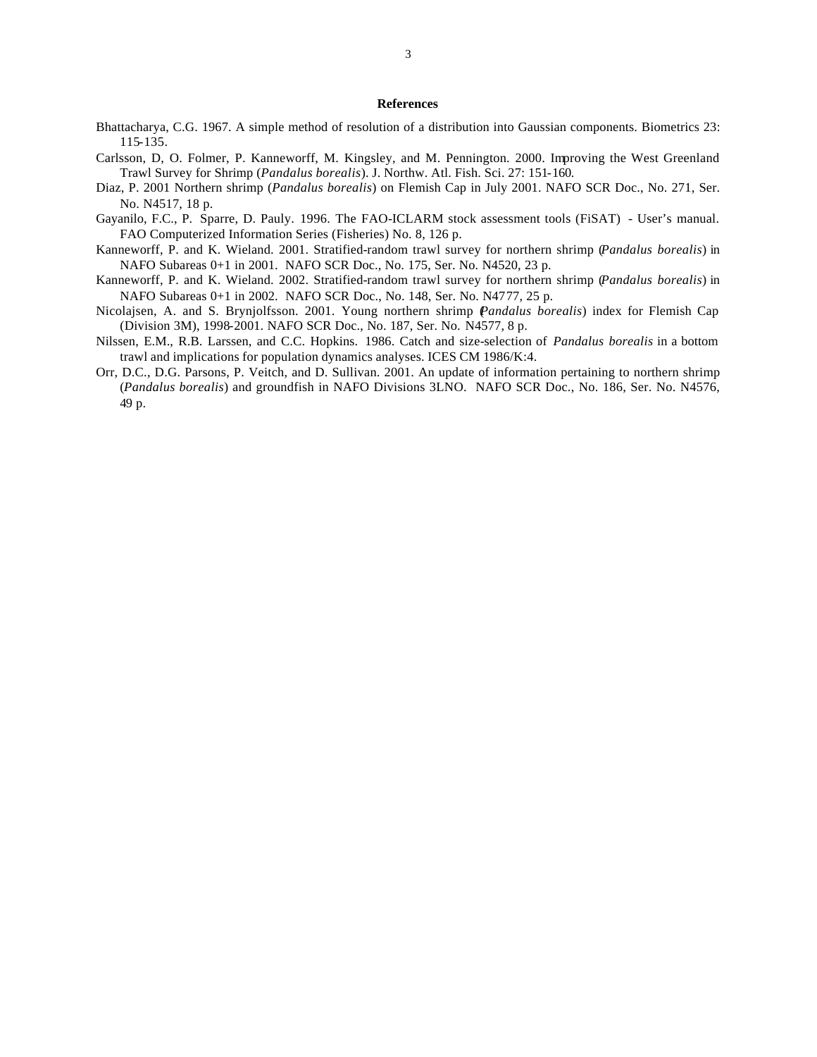#### **References**

- Bhattacharya, C.G. 1967. A simple method of resolution of a distribution into Gaussian components. Biometrics 23: 115-135.
- Carlsson, D, O. Folmer, P. Kanneworff, M. Kingsley, and M. Pennington. 2000. Improving the West Greenland Trawl Survey for Shrimp (*Pandalus borealis*). J. Northw. Atl. Fish. Sci. 27: 151-160.
- Diaz, P. 2001 Northern shrimp (*Pandalus borealis*) on Flemish Cap in July 2001. NAFO SCR Doc., No. 271, Ser. No. N4517, 18 p.
- Gayanilo, F.C., P. Sparre, D. Pauly. 1996. The FAO-ICLARM stock assessment tools (FiSAT) User's manual. FAO Computerized Information Series (Fisheries) No. 8, 126 p.
- Kanneworff, P. and K. Wieland. 2001. Stratified-random trawl survey for northern shrimp (*Pandalus borealis*) in NAFO Subareas 0+1 in 2001. NAFO SCR Doc., No. 175, Ser. No. N4520, 23 p.
- Kanneworff, P. and K. Wieland. 2002. Stratified-random trawl survey for northern shrimp (*Pandalus borealis*) in NAFO Subareas 0+1 in 2002. NAFO SCR Doc., No. 148, Ser. No. N4777, 25 p.
- Nicolajsen, A. and S. Brynjolfsson. 2001. Young northern shrimp (*Pandalus borealis*) index for Flemish Cap (Division 3M), 1998-2001. NAFO SCR Doc., No. 187, Ser. No. N4577, 8 p.
- Nilssen, E.M., R.B. Larssen, and C.C. Hopkins. 1986. Catch and size-selection of *Pandalus borealis* in a bottom trawl and implications for population dynamics analyses. ICES CM 1986/K:4.
- Orr, D.C., D.G. Parsons, P. Veitch, and D. Sullivan. 2001. An update of information pertaining to northern shrimp (*Pandalus borealis*) and groundfish in NAFO Divisions 3LNO. NAFO SCR Doc., No. 186, Ser. No. N4576, 49 p.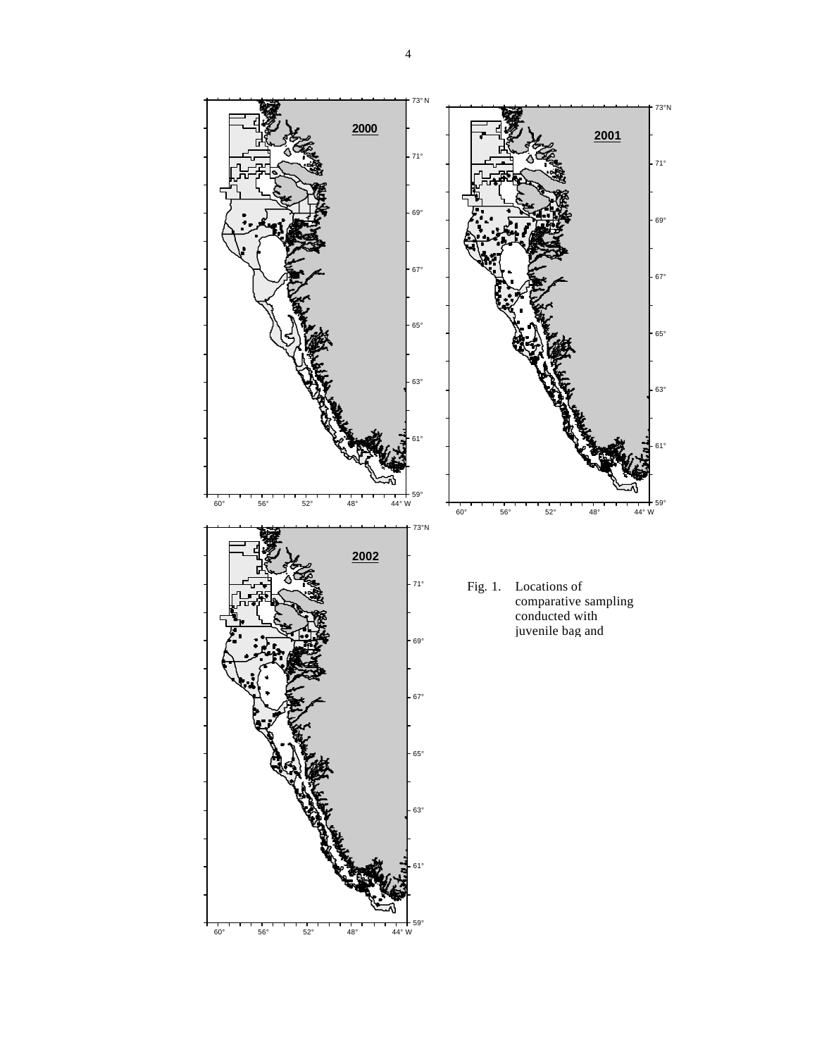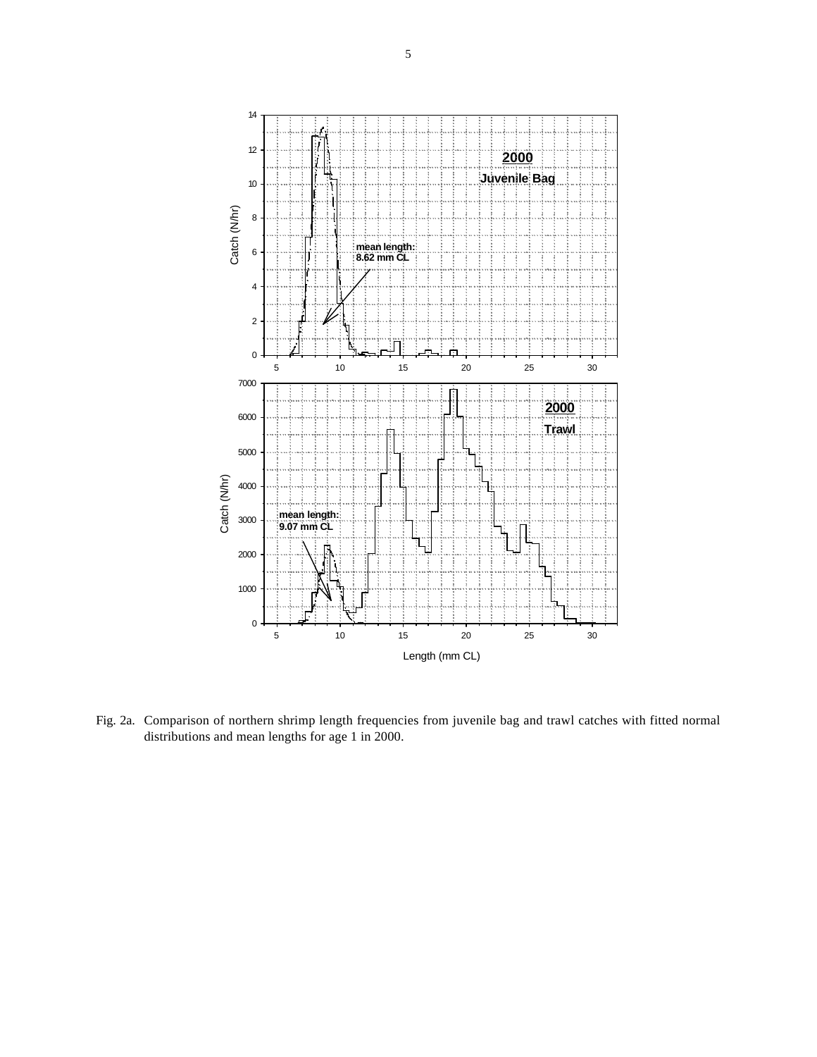

Fig. 2a. Comparison of northern shrimp length frequencies from juvenile bag and trawl catches with fitted normal distributions and mean lengths for age 1 in 2000.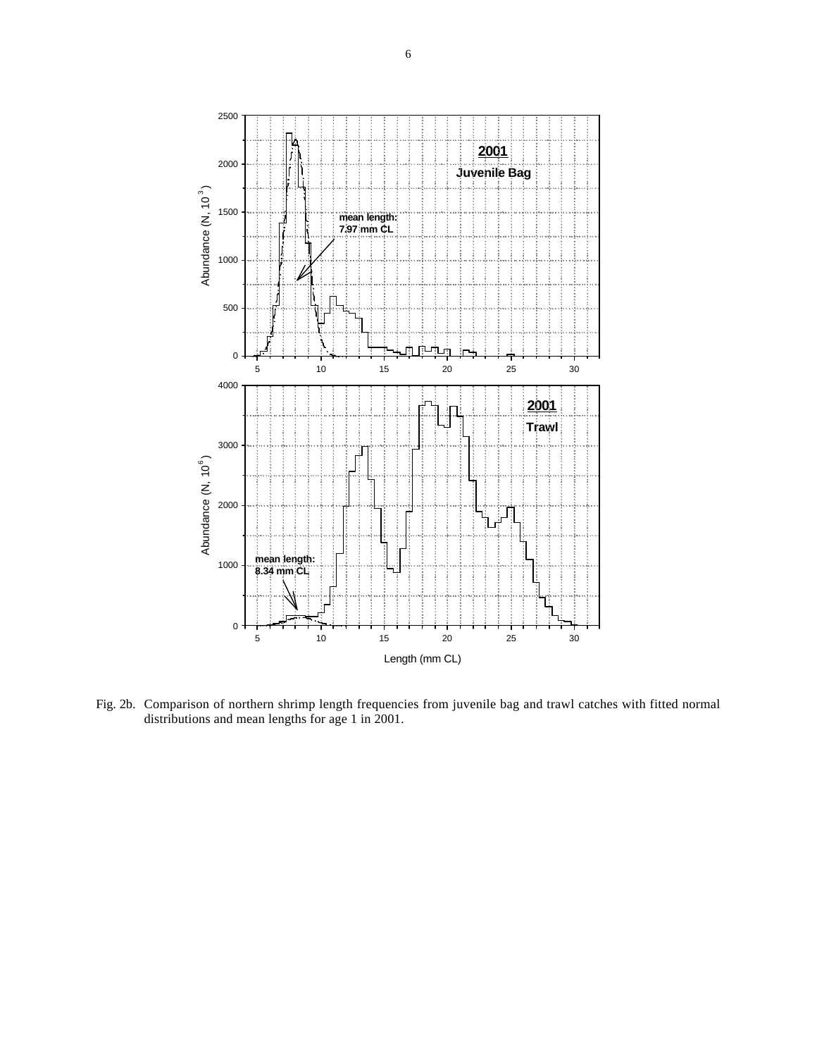

Fig. 2b. Comparison of northern shrimp length frequencies from juvenile bag and trawl catches with fitted normal distributions and mean lengths for age 1 in 2001.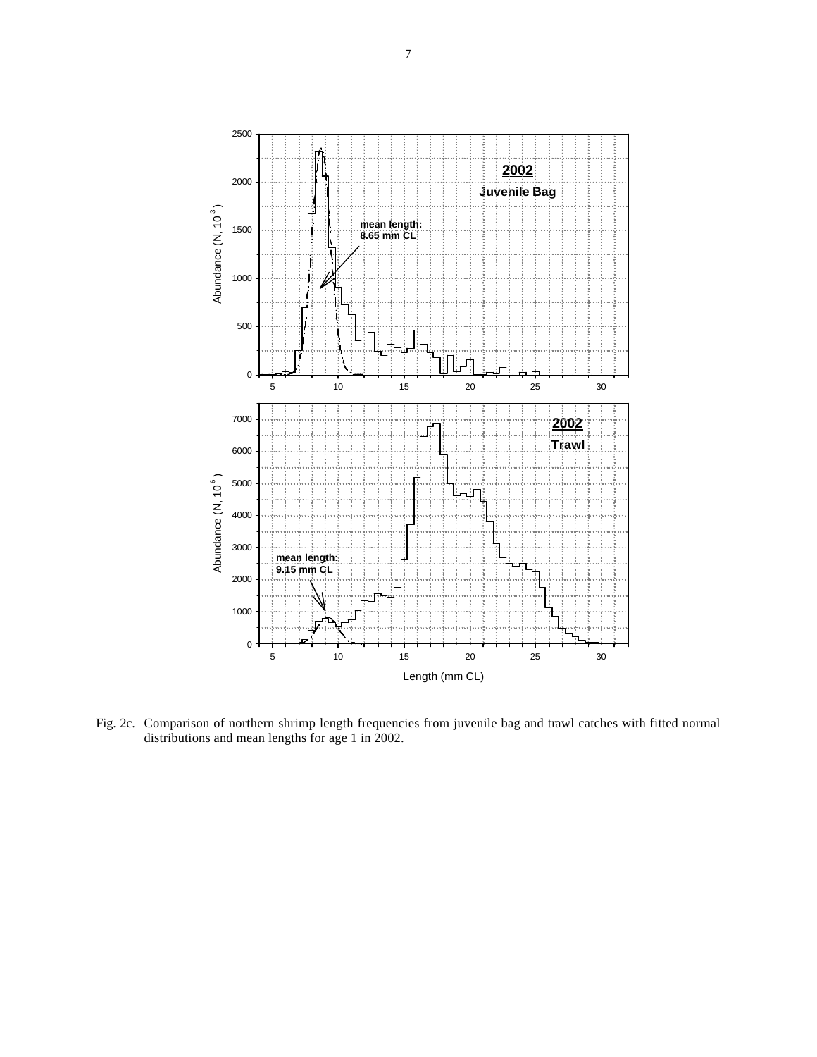

Fig. 2c. Comparison of northern shrimp length frequencies from juvenile bag and trawl catches with fitted normal distributions and mean lengths for age 1 in 2002.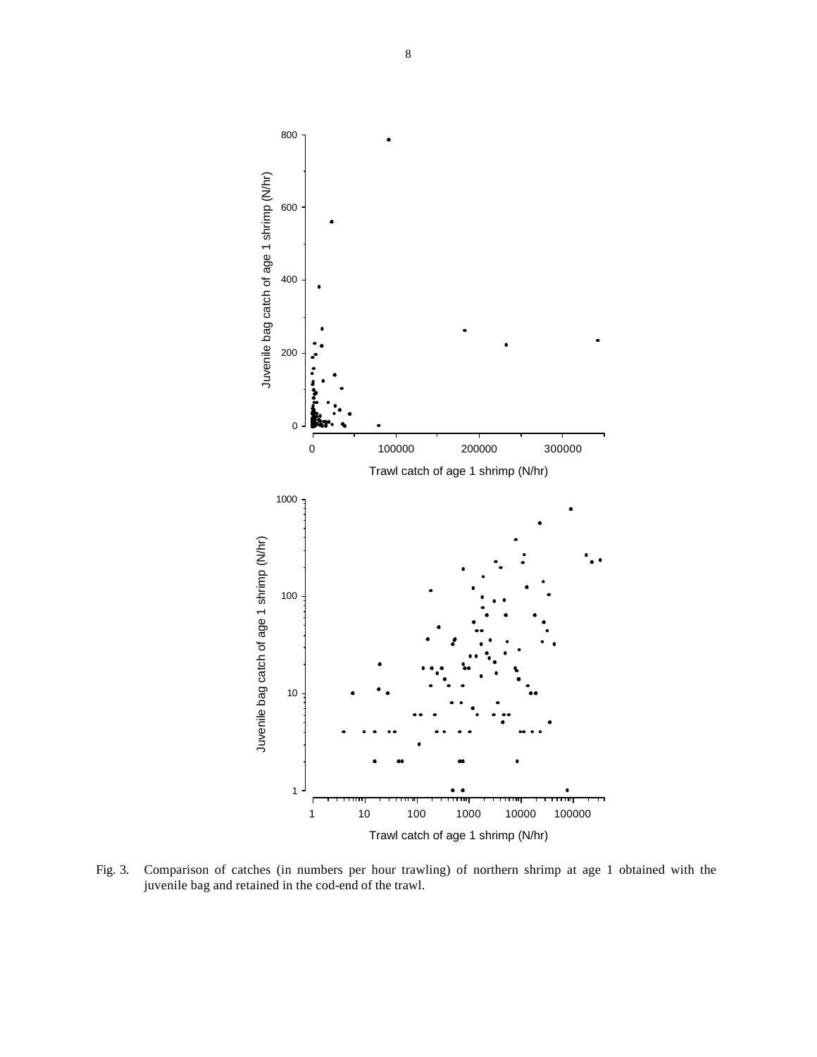

Fig. 3. Comparison of catches (in numbers per hour trawling) of northern shrimp at age 1 obtained with the juvenile bag and retained in the cod-end of the trawl.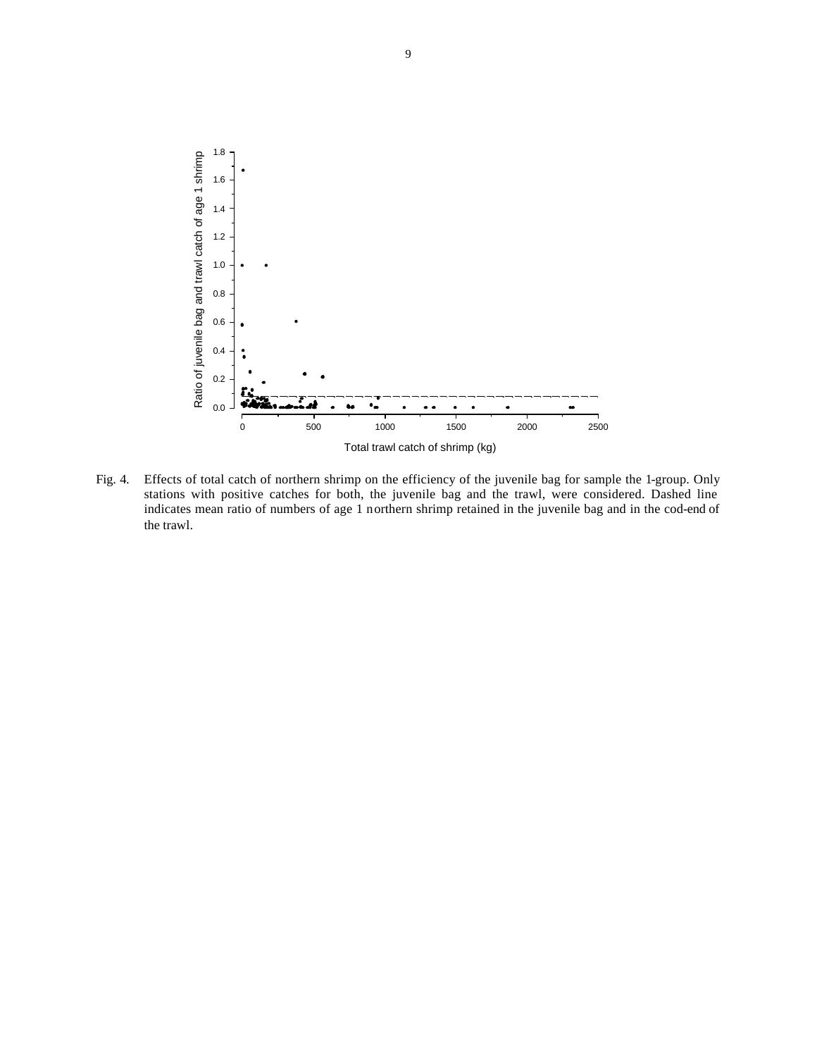

Fig. 4. Effects of total catch of northern shrimp on the efficiency of the juvenile bag for sample the 1-group. Only stations with positive catches for both, the juvenile bag and the trawl, were considered. Dashed line indicates mean ratio of numbers of age 1 northern shrimp retained in the juvenile bag and in the cod-end of the trawl.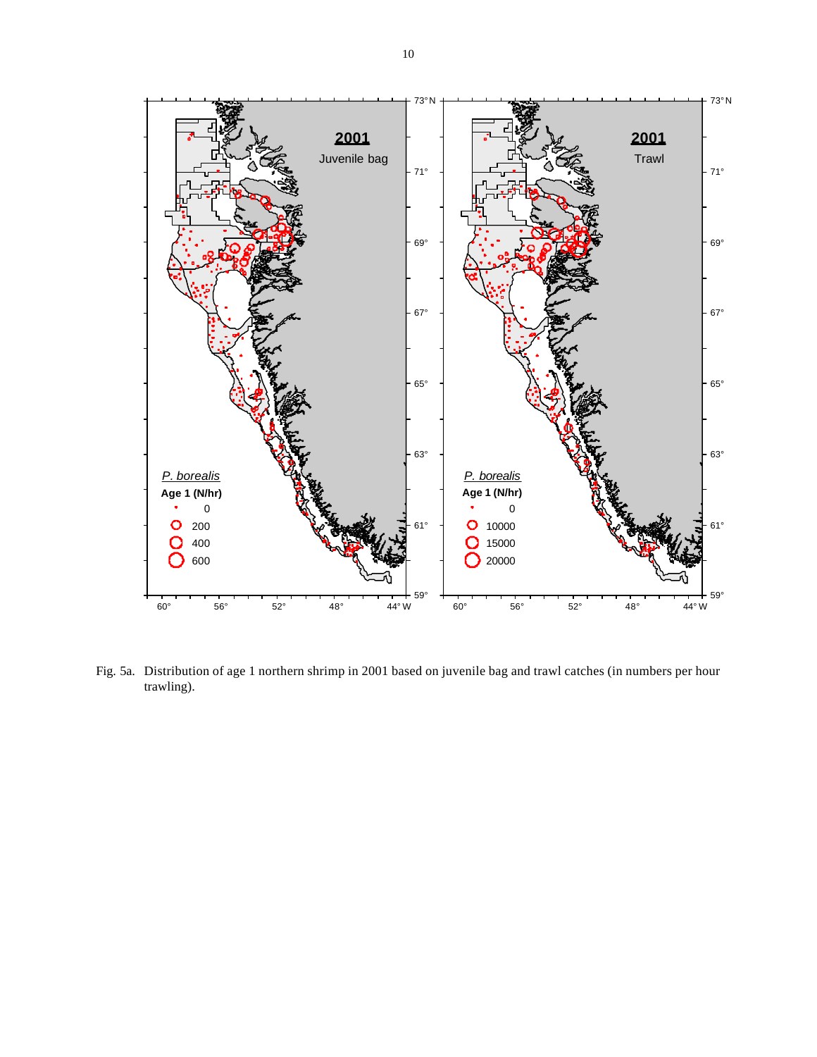

Fig. 5a. Distribution of age 1 northern shrimp in 2001 based on juvenile bag and trawl catches (in numbers per hour trawling).